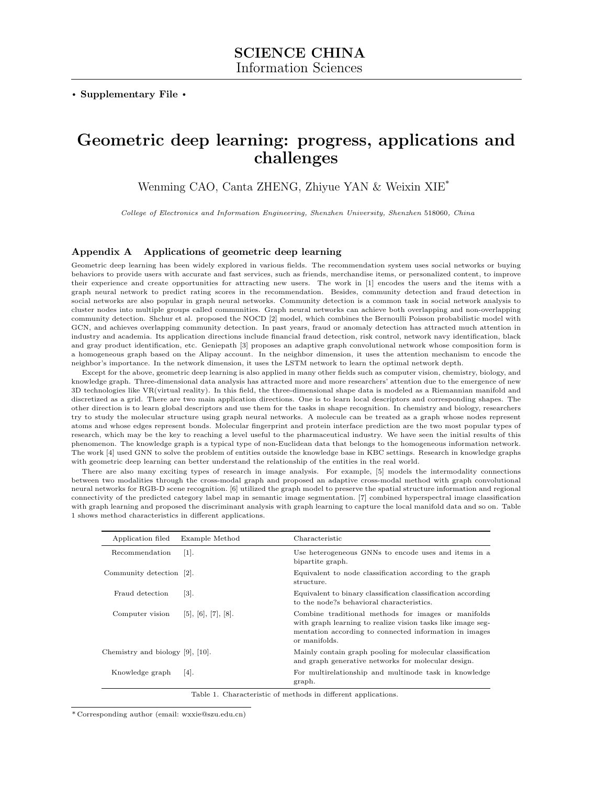. Supplementary File .

## Geometric deep learning: progress, applications and challenges

Wenming CAO, Canta ZHENG, Zhiyue YAN & Weixin XIE\*

College of Electronics and Information Engineering, Shenzhen University, Shenzhen 518060, China

## Appendix A Applications of geometric deep learning

Geometric deep learning has been widely explored in various fields. The recommendation system uses social networks or buying behaviors to provide users with accurate and fast services, such as friends, merchandise items, or personalized content, to improve their experience and create opportunities for attracting new users. The work in [\[1\]](#page-1-0) encodes the users and the items with a graph neural network to predict rating scores in the recommendation. Besides, community detection and fraud detection in social networks are also popular in graph neural networks. Community detection is a common task in social network analysis to cluster nodes into multiple groups called communities. Graph neural networks can achieve both overlapping and non-overlapping community detection. Shchur et al. proposed the NOCD [\[2\]](#page-1-1) model, which combines the Bernoulli Poisson probabilistic model with GCN, and achieves overlapping community detection. In past years, fraud or anomaly detection has attracted much attention in industry and academia. Its application directions include financial fraud detection, risk control, network navy identification, black and gray product identification, etc. Geniepath [\[3\]](#page-1-2) proposes an adaptive graph convolutional network whose composition form is a homogeneous graph based on the Alipay account. In the neighbor dimension, it uses the attention mechanism to encode the neighbor's importance. In the network dimension, it uses the LSTM network to learn the optimal network depth.

Except for the above, geometric deep learning is also applied in many other fields such as computer vision, chemistry, biology, and knowledge graph. Three-dimensional data analysis has attracted more and more researchers' attention due to the emergence of new 3D technologies like VR(virtual reality). In this field, the three-dimensional shape data is modeled as a Riemannian manifold and discretized as a grid. There are two main application directions. One is to learn local descriptors and corresponding shapes. The other direction is to learn global descriptors and use them for the tasks in shape recognition. In chemistry and biology, researchers try to study the molecular structure using graph neural networks. A molecule can be treated as a graph whose nodes represent atoms and whose edges represent bonds. Molecular fingerprint and protein interface prediction are the two most popular types of research, which may be the key to reaching a level useful to the pharmaceutical industry. We have seen the initial results of this phenomenon. The knowledge graph is a typical type of non-Euclidean data that belongs to the homogeneous information network. The work [\[4\]](#page-1-3) used GNN to solve the problem of entities outside the knowledge base in KBC settings. Research in knowledge graphs with geometric deep learning can better understand the relationship of the entities in the real world.

There are also many exciting types of research in image analysis. For example, [\[5\]](#page-1-4) models the intermodality connections between two modalities through the cross-modal graph and proposed an adaptive cross-modal method with graph convolutional neural networks for RGB-D scene recognition. [\[6\]](#page-1-5) utilized the graph model to preserve the spatial structure information and regional connectivity of the predicted category label map in semantic image segmentation. [\[7\]](#page-1-6) combined hyperspectral image classification with graph learning and proposed the discriminant analysis with graph learning to capture the local manifold data and so on. Table 1 shows method characteristics in different applications.

| Application filed                      | Example Method                 | Characteristic                                                                                                                                                                                |
|----------------------------------------|--------------------------------|-----------------------------------------------------------------------------------------------------------------------------------------------------------------------------------------------|
| Recommendation                         | $ 1 $ .                        | Use heterogeneous GNNs to encode uses and items in a<br>bipartite graph.                                                                                                                      |
| Community detection [2].               |                                | Equivalent to node classification according to the graph<br>structure.                                                                                                                        |
| Fraud detection                        | $\left\lceil 3 \right\rceil$ . | Equivalent to binary classification classification according<br>to the node?s behavioral characteristics.                                                                                     |
| Computer vision                        | [5], [6], [7], [8].            | Combine traditional methods for images or manifolds<br>with graph learning to realize vision tasks like image seg-<br>mentation according to connected information in images<br>or manifolds. |
| Chemistry and biology $[9]$ , $[10]$ . |                                | Mainly contain graph pooling for molecular classification<br>and graph generative networks for molecular design.                                                                              |
| Knowledge graph                        | $ 4 $ .                        | For multirelationship and multinode task in knowledge<br>graph.                                                                                                                               |

Table 1. Characteristic of methods in different applications.

\* Corresponding author (email: wxxie@szu.edu.cn)